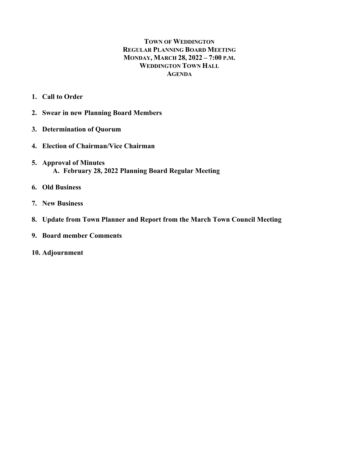# **TOWN OF WEDDINGTON REGULAR PLANNING BOARD MEETING MONDAY, MARCH 28, 2022 – 7:00 P.M. WEDDINGTON TOWN HALL AGENDA**

- **1. Call to Order**
- **2. Swear in new Planning Board Members**
- **3. Determination of Quorum**
- **4. Election of Chairman/Vice Chairman**
- **5. Approval of Minutes A. February 28, 2022 Planning Board Regular Meeting**
- **6. Old Business**
- **7. New Business**
- **8. Update from Town Planner and Report from the March Town Council Meeting**
- **9. Board member Comments**
- **10. Adjournment**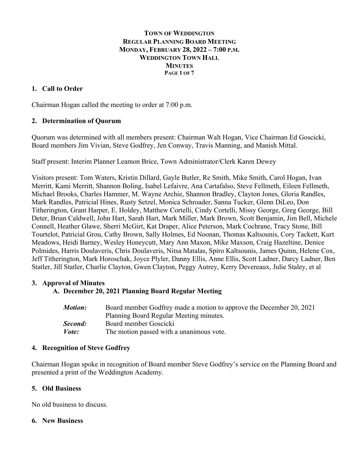### **TOWN OF WEDDINGTON REGULAR PLANNING BOARD MEETING MONDAY, FEBRUARY 28, 2022 – 7:00 P.M. WEDDINGTON TOWN HALL MINUTES PAGE 1 OF 7**

# **1. Call to Order**

Chairman Hogan called the meeting to order at 7:00 p.m.

# **2. Determination of Quorum**

Quorum was determined with all members present: Chairman Walt Hogan, Vice Chairman Ed Goscicki, Board members Jim Vivian, Steve Godfrey, Jen Conway, Travis Manning, and Manish Mittal.

Staff present: Interim Planner Leamon Brice, Town Administrator/Clerk Karen Dewey

Visitors present: Tom Waters, Kristin Dillard, Gayle Butler, Re Smith, Mike Smith, Carol Hogan, Ivan Merritt, Kami Merritt, Shannon Boling, Isabel Lefaivre, Ana Cartafalso, Steve Fellmeth, Eileen Fellmeth, Michael Brooks, Charles Hammer, M. Wayne Archie, Shannon Bradley, Clayton Jones, Gloria Randles, Mark Randles, Patricial Hines, Rusty Setzel, Monica Schroader, Sanna Tucker, Glenn DiLeo, Don Titherington, Grant Harper, E. Holdey, Matthew Cortelli, Cindy Cortelli, Missy George, Greg George, Bill Deter, Brian Caldwell, John Hart, Sarah Hart, Mark Miller, Mark Brown, Scott Benjamin, Jim Bell, Michele Connell, Heather Glawe, Sherri McGirt, Kat Draper, Alice Peterson, Mark Cochrane, Tracy Stone, Bill Tourtelot, Patricial Grou, Cathy Brown, Sally Holmes, Ed Noonan, Thomas Kaltsounis, Cory Tackett, Kurt Meadows, Heidi Barney, Wesley Honeycutt, Mary Ann Maxon, Mike Maxson, Craig Hazeltine, Denice Polmides, Harris Doulaveris, Chris Doulaveris, Nitsa Matalas, Spiro Kaltsounis, James Quinn, Helene Cox, Jeff Titherington, Mark Horoschak, Joyce Plyler, Danny Ellis, Anne Ellis, Scott Ladner, Darcy Ladner, Ben Statler, Jill Statler, Charlie Clayton, Gwen Clayton, Peggy Autrey, Kerry Devereaux, Julie Staley, et al

# **3. Approval of Minutes**

# **A. December 20, 2021 Planning Board Regular Meeting**

| Motion:      | Board member Godfrey made a motion to approve the December 20, 2021 |
|--------------|---------------------------------------------------------------------|
|              | Planning Board Regular Meeting minutes.                             |
| Second:      | Board member Goscicki                                               |
| <i>Vote:</i> | The motion passed with a unanimous vote.                            |

#### **4. Recognition of Steve Godfrey**

Chairman Hogan spoke in recognition of Board member Steve Godfrey's service on the Planning Board and presented a print of the Weddington Academy.

# **5. Old Business**

No old business to discuss.

#### **6. New Business**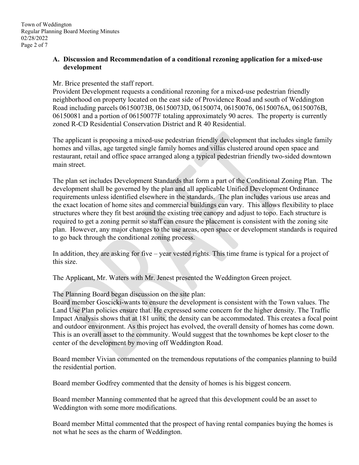### **A. Discussion and Recommendation of a conditional rezoning application for a mixed-use development**

#### Mr. Brice presented the staff report.

Provident Development requests a conditional rezoning for a mixed-use pedestrian friendly neighborhood on property located on the east side of Providence Road and south of Weddington Road including parcels 06150073B, 06150073D, 06150074, 06150076, 06150076A, 06150076B, 06150081 and a portion of 06150077F totaling approximately 90 acres. The property is currently zoned R-CD Residential Conservation District and R 40 Residential.

The applicant is proposing a mixed-use pedestrian friendly development that includes single family homes and villas, age targeted single family homes and villas clustered around open space and restaurant, retail and office space arranged along a typical pedestrian friendly two-sided downtown main street.

The plan set includes Development Standards that form a part of the Conditional Zoning Plan. The development shall be governed by the plan and all applicable Unified Development Ordinance requirements unless identified elsewhere in the standards. The plan includes various use areas and the exact location of home sites and commercial buildings can vary. This allows flexibility to place structures where they fit best around the existing tree canopy and adjust to topo. Each structure is required to get a zoning permit so staff can ensure the placement is consistent with the zoning site plan. However, any major changes to the use areas, open space or development standards is required to go back through the conditional zoning process.

In addition, they are asking for five – year vested rights. This time frame is typical for a project of this size.

The Applicant, Mr. Waters with Mr. Jenest presented the Weddington Green project.

The Planning Board began discussion on the site plan:

Board member Goscicki-wants to ensure the development is consistent with the Town values. The Land Use Plan policies ensure that. He expressed some concern for the higher density. The Traffic Impact Analysis shows that at 181 units, the density can be accommodated. This creates a focal point and outdoor environment. As this project has evolved, the overall density of homes has come down. This is an overall asset to the community. Would suggest that the townhomes be kept closer to the center of the development by moving off Weddington Road.

Board member Vivian commented on the tremendous reputations of the companies planning to build the residential portion.

Board member Godfrey commented that the density of homes is his biggest concern.

Board member Manning commented that he agreed that this development could be an asset to Weddington with some more modifications.

Board member Mittal commented that the prospect of having rental companies buying the homes is not what he sees as the charm of Weddington.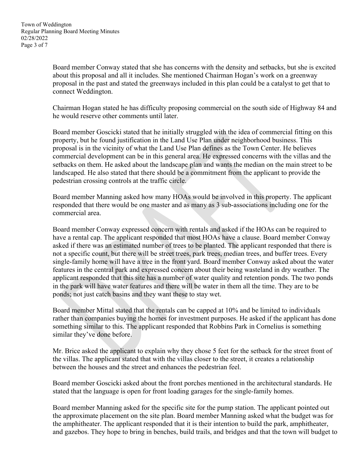Board member Conway stated that she has concerns with the density and setbacks, but she is excited about this proposal and all it includes. She mentioned Chairman Hogan's work on a greenway proposal in the past and stated the greenways included in this plan could be a catalyst to get that to connect Weddington.

Chairman Hogan stated he has difficulty proposing commercial on the south side of Highway 84 and he would reserve other comments until later.

Board member Goscicki stated that he initially struggled with the idea of commercial fitting on this property, but he found justification in the Land Use Plan under neighborhood business. This proposal is in the vicinity of what the Land Use Plan defines as the Town Center. He believes commercial development can be in this general area. He expressed concerns with the villas and the setbacks on them. He asked about the landscape plan and wants the median on the main street to be landscaped. He also stated that there should be a commitment from the applicant to provide the pedestrian crossing controls at the traffic circle.

Board member Manning asked how many HOAs would be involved in this property. The applicant responded that there would be one master and as many as 3 sub-associations including one for the commercial area.

Board member Conway expressed concern with rentals and asked if the HOAs can be required to have a rental cap. The applicant responded that most HOAs have a clause. Board member Conway asked if there was an estimated number of trees to be planted. The applicant responded that there is not a specific count, but there will be street trees, park trees, median trees, and buffer trees. Every single-family home will have a tree in the front yard. Board member Conway asked about the water features in the central park and expressed concern about their being wasteland in dry weather. The applicant responded that this site has a number of water quality and retention ponds. The two ponds in the park will have water features and there will be water in them all the time. They are to be ponds; not just catch basins and they want these to stay wet.

Board member Mittal stated that the rentals can be capped at 10% and be limited to individuals rather than companies buying the homes for investment purposes. He asked if the applicant has done something similar to this. The applicant responded that Robbins Park in Cornelius is something similar they've done before.

Mr. Brice asked the applicant to explain why they chose 5 feet for the setback for the street front of the villas. The applicant stated that with the villas closer to the street, it creates a relationship between the houses and the street and enhances the pedestrian feel.

Board member Goscicki asked about the front porches mentioned in the architectural standards. He stated that the language is open for front loading garages for the single-family homes.

Board member Manning asked for the specific site for the pump station. The applicant pointed out the approximate placement on the site plan. Board member Manning asked what the budget was for the amphitheater. The applicant responded that it is their intention to build the park, amphitheater, and gazebos. They hope to bring in benches, build trails, and bridges and that the town will budget to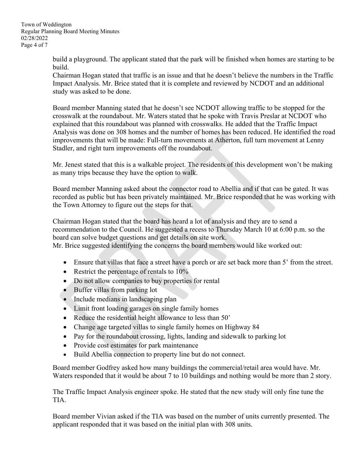build a playground. The applicant stated that the park will be finished when homes are starting to be build.

Chairman Hogan stated that traffic is an issue and that he doesn't believe the numbers in the Traffic Impact Analysis. Mr. Brice stated that it is complete and reviewed by NCDOT and an additional study was asked to be done.

Board member Manning stated that he doesn't see NCDOT allowing traffic to be stopped for the crosswalk at the roundabout. Mr. Waters stated that he spoke with Travis Preslar at NCDOT who explained that this roundabout was planned with crosswalks. He added that the Traffic Impact Analysis was done on 308 homes and the number of homes has been reduced. He identified the road improvements that will be made: Full-turn movements at Atherton, full turn movement at Lenny Stadler, and right turn improvements off the roundabout.

Mr. Jenest stated that this is a walkable project. The residents of this development won't be making as many trips because they have the option to walk.

Board member Manning asked about the connector road to Abellia and if that can be gated. It was recorded as public but has been privately maintained. Mr. Brice responded that he was working with the Town Attorney to figure out the steps for that.

Chairman Hogan stated that the board has heard a lot of analysis and they are to send a recommendation to the Council. He suggested a recess to Thursday March 10 at 6:00 p.m. so the board can solve budget questions and get details on site work.

Mr. Brice suggested identifying the concerns the board members would like worked out:

- Ensure that villas that face a street have a porch or are set back more than 5' from the street.
- Restrict the percentage of rentals to  $10\%$
- Do not allow companies to buy properties for rental
- Buffer villas from parking lot
- Include medians in landscaping plan
- Limit front loading garages on single family homes
- Reduce the residential height allowance to less than 50'
- Change age targeted villas to single family homes on Highway 84
- Pay for the roundabout crossing, lights, landing and sidewalk to parking lot
- Provide cost estimates for park maintenance
- Build Abellia connection to property line but do not connect.

Board member Godfrey asked how many buildings the commercial/retail area would have. Mr. Waters responded that it would be about 7 to 10 buildings and nothing would be more than 2 story.

The Traffic Impact Analysis engineer spoke. He stated that the new study will only fine tune the TIA.

Board member Vivian asked if the TIA was based on the number of units currently presented. The applicant responded that it was based on the initial plan with 308 units.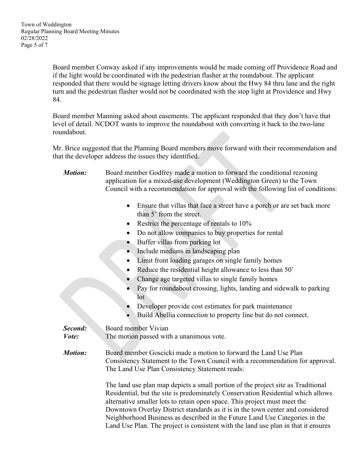Board member Conway asked if any improvements would be made coming off Providence Road and if the light would be coordinated with the pedestrian flasher at the roundabout. The applicant responded that there would be signage letting drivers know about the Hwy 84 thru lane and the right turn and the pedestrian flasher would not be coordinated with the stop light at Providence and Hwy 84.

Board member Manning asked about easements. The applicant responded that they don't have that level of detail. NCDOT wants to improve the roundabout with converting it back to the two-lane roundabout.

Mr. Brice suggested that the Planning Board members move forward with their recommendation and that the developer address the issues they identified.

- *Motion:* Board member Godfrey made a motion to forward the conditional rezoning application for a mixed-use development (Weddington Green) to the Town Council with a recommendation for approval with the following list of conditions:
	- Ensure that villas that face a street have a porch or are set back more than 5' from the street.
	- Restrict the percentage of rentals to 10%
	- Do not allow companies to buy properties for rental
	- Buffer villas from parking lot
	- Include medians in landscaping plan
	- Limit front loading garages on single family homes
	- Reduce the residential height allowance to less than 50'
	- Change age targeted villas to single family homes
	- Pay for roundabout crossing, lights, landing and sidewalk to parking lot
	- Developer provide cost estimates for park maintenance
	- Build Abellia connection to property line but do not connect.

**Second:** Board member Vivian

*Vote:* The motion passed with a unanimous vote.

*Motion:* Board member Goscicki made a motion to forward the Land Use Plan Consistency Statement to the Town Council with a recommendation for approval. The Land Use Plan Consistency Statement reads:

> The land use plan map depicts a small portion of the project site as Traditional Residential, but the site is predominately Conservation Residential which allows alternative smaller lots to retain open space. This project must meet the Downtown Overlay District standards as it is in the town center and considered Neighborhood Business as described in the Future Land Use Categories in the Land Use Plan. The project is consistent with the land use plan in that it ensures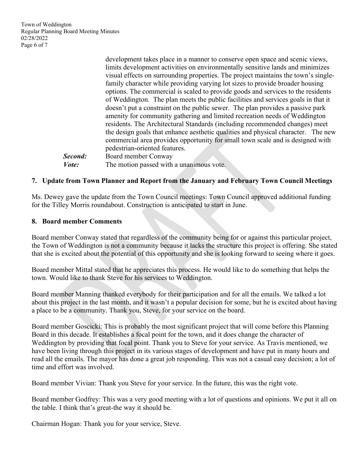Town of Weddington Regular Planning Board Meeting Minutes 02/28/2022 Page 6 of 7

|               | development takes place in a manner to conserve open space and scenic views,       |
|---------------|------------------------------------------------------------------------------------|
|               | limits development activities on environmentally sensitive lands and minimizes     |
|               | visual effects on surrounding properties. The project maintains the town's single- |
|               | family character while providing varying lot sizes to provide broader housing      |
|               | options. The commercial is scaled to provide goods and services to the residents   |
|               | of Weddington. The plan meets the public facilities and services goals in that it  |
|               | doesn't put a constraint on the public sewer. The plan provides a passive park     |
|               | amenity for community gathering and limited recreation needs of Weddington         |
|               | residents. The Architectural Standards (including recommended changes) meet        |
|               | the design goals that enhance aesthetic qualities and physical character. The new  |
|               | commercial area provides opportunity for small town scale and is designed with     |
|               | pedestrian-oriented features.                                                      |
| Second:       | Board member Conway                                                                |
| <i>Vote</i> : | The motion passed with a unanimous vote.                                           |

### **7. Update from Town Planner and Report from the January and February Town Council Meetings**

Ms. Dewey gave the update from the Town Council meetings: Town Council approved additional funding for the Tilley Morris roundabout. Construction is anticipated to start in June.

#### **8. Board member Comments**

Board member Conway stated that regardless of the community being for or against this particular project, the Town of Weddington is not a community because it lacks the structure this project is offering. She stated that she is excited about the potential of this opportunity and she is looking forward to seeing where it goes.

Board member Mittal stated that he appreciates this process. He would like to do something that helps the town. Would like to thank Steve for his services to Weddington.

Board member Manning thanked everybody for their participation and for all the emails. We talked a lot about this project in the last month, and it wasn't a popular decision for some, but he is excited about having a place to be a community. Thank you, Steve, for your service on the board.

Board member Goscicki: This is probably the most significant project that will come before this Planning Board in this decade. It establishes a focal point for the town, and it does change the character of Weddington by providing that focal point. Thank you to Steve for your service. As Travis mentioned, we have been living through this project in its various stages of development and have put in many hours and read all the emails. The mayor has done a great job responding. This was not a casual easy decision; a lot of time and effort was involved.

Board member Vivian: Thank you Steve for your service. In the future, this was the right vote.

Board member Godfrey: This was a very good meeting with a lot of questions and opinions. We put it all on the table. I think that's great-the way it should be.

Chairman Hogan: Thank you for your service, Steve.